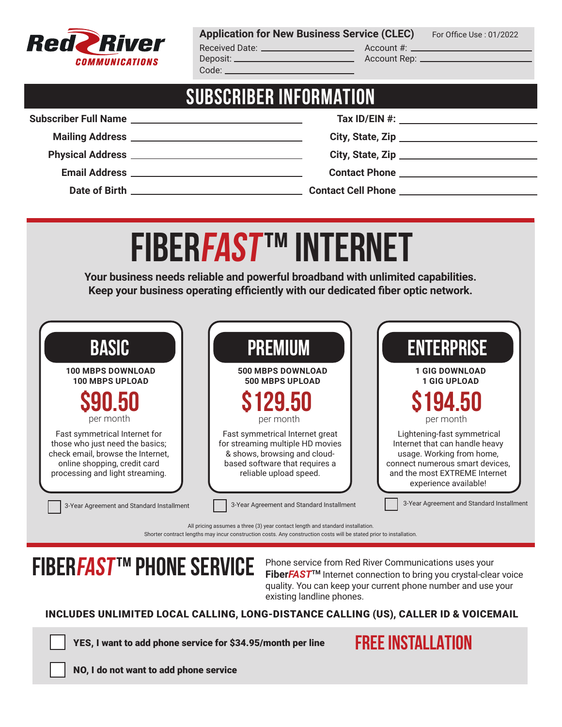

**Application for New Business Service (CLEC)** For Office Use: 01/2022

Received Date: Account #: Deposit: Account Rep: Code: \_

## **SUBSCRIBER INFORMATION**

# **FIBERFAST ™ INTERNET**

**Your business needs reliable and powerful broadband with unlimited capabilities. Keep your business operating efficiently with our dedicated fiber optic network.**

| <b>BASIC</b>                                                                                                                                                             | <b>PREMIUM</b>                                                                                                                                                  | <b>ENTERPRISE</b>                                                                                                                                                                       |
|--------------------------------------------------------------------------------------------------------------------------------------------------------------------------|-----------------------------------------------------------------------------------------------------------------------------------------------------------------|-----------------------------------------------------------------------------------------------------------------------------------------------------------------------------------------|
| <b>100 MBPS DOWNLOAD</b>                                                                                                                                                 | <b>500 MBPS DOWNLOAD</b>                                                                                                                                        | <b>1 GIG DOWNLOAD</b>                                                                                                                                                                   |
| <b>100 MBPS UPLOAD</b>                                                                                                                                                   | 500 MBPS UPLOAD                                                                                                                                                 | <b>1 GIG UPLOAD</b>                                                                                                                                                                     |
| \$90.50                                                                                                                                                                  | \$129.50                                                                                                                                                        | <b>S194.50</b>                                                                                                                                                                          |
| per month                                                                                                                                                                | per month                                                                                                                                                       | per month                                                                                                                                                                               |
| Fast symmetrical Internet for<br>those who just need the basics;<br>check email, browse the Internet,<br>online shopping, credit card<br>processing and light streaming. | Fast symmetrical Internet great<br>for streaming multiple HD movies<br>& shows, browsing and cloud-<br>based software that requires a<br>reliable upload speed. | Lightening-fast symmetrical<br>Internet that can handle heavy<br>usage. Working from home,<br>connect numerous smart devices,<br>and the most EXTREME Internet<br>experience available! |

All pricing assumes a three (3) year contact length and standard installation. Shorter contract lengths may incur construction costs. Any construction costs will be stated prior to installation.

# **FIBERFAST™ PHONE SERVICE** Phone service from Red River Communications uses your

**Fiber***FAST***TM** Internet connection to bring you crystal-clear voice quality. You can keep your current phone number and use your existing landline phones.

### INCLUDES UNLIMITED LOCAL CALLING, LONG-DISTANCE CALLING (US), CALLER ID & VOICEMAIL

YES, I want to add phone service for \$34.95/month per line

**FREE INSTALLATION**

NO, I do not want to add phone service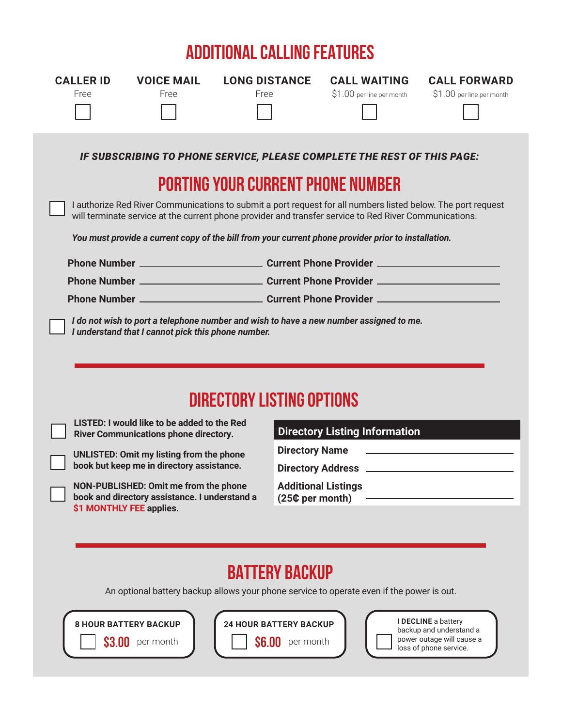## **ADDITIONAL CALLING FEATURES**

| <b>CALLER ID</b><br>Free                                                                                                                                                                                                                                                                                                                                                                                                                                                                                                                                                                                                                                                              | <b>VOICE MAIL</b><br>Free | <b>LONG DISTANCE</b><br>Free |  | <b>CALL WAITING</b><br>\$1.00 per line per month                                                                                                                                                                                                                                                                                              | <b>CALL FORWARD</b><br>\$1.00 per line per month |
|---------------------------------------------------------------------------------------------------------------------------------------------------------------------------------------------------------------------------------------------------------------------------------------------------------------------------------------------------------------------------------------------------------------------------------------------------------------------------------------------------------------------------------------------------------------------------------------------------------------------------------------------------------------------------------------|---------------------------|------------------------------|--|-----------------------------------------------------------------------------------------------------------------------------------------------------------------------------------------------------------------------------------------------------------------------------------------------------------------------------------------------|--------------------------------------------------|
|                                                                                                                                                                                                                                                                                                                                                                                                                                                                                                                                                                                                                                                                                       |                           |                              |  | IF SUBSCRIBING TO PHONE SERVICE, PLEASE COMPLETE THE REST OF THIS PAGE:<br><b>PORTING YOUR CURRENT PHONE NUMBER</b><br>I authorize Red River Communications to submit a port request for all numbers listed below. The port request<br>will terminate service at the current phone provider and transfer service to Red River Communications. |                                                  |
| You must provide a current copy of the bill from your current phone provider prior to installation.<br>I do not wish to port a telephone number and wish to have a new number assigned to me.<br>I understand that I cannot pick this phone number.                                                                                                                                                                                                                                                                                                                                                                                                                                   |                           |                              |  |                                                                                                                                                                                                                                                                                                                                               |                                                  |
| <b>DIRECTORY LISTING OPTIONS</b><br>LISTED: I would like to be added to the Red<br><b>Directory Listing Information</b><br><b>River Communications phone directory.</b><br><b>Directory Name</b><br><b>UNLISTED: Omit my listing from the phone</b><br>book but keep me in directory assistance.<br><b>Additional Listings</b><br>NON-PUBLISHED: Omit me from the phone<br>book and directory assistance. I understand a<br>(25¢ per month)<br>\$1 MONTHLY FEE applies.<br><b>BATTERY BACKUP</b><br>An optional battery backup allows your phone service to operate even if the power is out.<br>I DECLINE a battery<br><b>24 HOUR BATTERY BACKUP</b><br><b>8 HOUR BATTERY BACKUP</b> |                           |                              |  |                                                                                                                                                                                                                                                                                                                                               |                                                  |

**\$6.00** per month

**\$3.00** per month

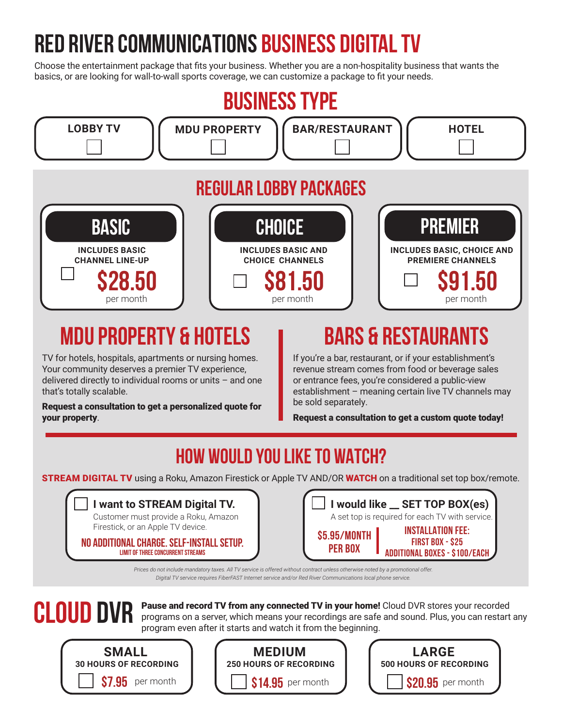# **RED RIVER COMMUNICATIONS BUSINESS DIGITAL TV**

Choose the entertainment package that fits your business. Whether you are a non-hospitality business that wants the basics, or are looking for wall-to-wall sports coverage, we can customize a package to fit your needs.



# **MDU PROPERTY & HOTELS BARS & RESTAURANTS**

TV for hotels, hospitals, apartments or nursing homes. Your community deserves a premier TV experience, delivered directly to individual rooms or units – and one that's totally scalable.

Request a consultation to get a personalized quote for your property.

If you're a bar, restaurant, or if your establishment's revenue stream comes from food or beverage sales or entrance fees, you're considered a public-view establishment – meaning certain live TV channels may be sold separately.

Request a consultation to get a custom quote today!

## **HOW WOULD YOU LIKE TO WATCH?**

**STREAM DIGITAL TV** using a Roku, Amazon Firestick or Apple TV AND/OR WATCH on a traditional set top box/remote.

| I want to STREAM Digital TV.         |
|--------------------------------------|
| Customer must provide a Roku, Amazon |

Firestick, or an Apple TV device.

**NO ADDITIONAL CHARGE. SELF-INSTALL SETUP. LIMIT OF THREE CONCURRENT STREAMS**

|                                | I would like __ SET TOP BOX(es)  <br>A set top is required for each TV with service.        |
|--------------------------------|---------------------------------------------------------------------------------------------|
| \$5.95/MONTH<br><b>PER BOX</b> | <b>INSTALLATION FEE:</b><br><b>FIRST BOX - \$25</b><br><b>ADDITIONAL BOXES - \$100/EACH</b> |

*Prices do not include mandatory taxes. All TV service is offered without contract unless otherwise noted by a promotional offer. Digital TV service requires FiberFAST Internet service and/or Red River Communications local phone service.*



**CLOUD DVR** Pause and record TV from any connected TV in your home! Cloud DVR stores your recorded<br> **CLOUD DVR** programs on a server, which means your recordings are safe and sound. Plus, you can restart any program even after it starts and watch it from the beginning.





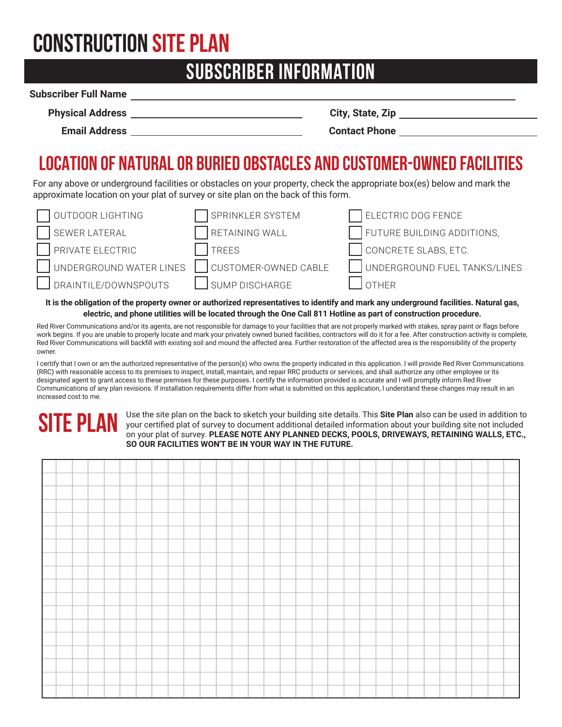# **CONSTRUCTION SITE PLAN**

## **SUBSCRIBER INFORMATION**

## **Subscriber Full Name**

| <b>Physical Address</b> |  |
|-------------------------|--|
|                         |  |

**Physical Address City, State, Zip**

**Email Address Contact Phone** 

## **LOCATION OF NATURAL OR BURIED OBSTACLES AND CUSTOMER-OWNED FACILITIES**

For any above or underground facilities or obstacles on your property, check the appropriate box(es) below and mark the approximate location on your plat of survey or site plan on the back of this form.

| OUTDOOR LIGHTING        | SPRINKLER SYSTEM     | ELECTRIC DOG FENCE           |
|-------------------------|----------------------|------------------------------|
| SEWER LATERAL           | RETAINING WALL       | FUTURE BUILDING ADDITIONS,   |
| PRIVATE ELECTRIC        | <b>TREES</b>         | CONCRETE SLABS, ETC.         |
| UNDERGROUND WATER LINES | CUSTOMER-OWNED CABLE | UNDERGROUND FUEL TANKS/LINES |
| DRAINTILE/DOWNSPOUTS    | 」 SUMP DISCHARGE     | <b>OTHER</b>                 |

**It is the obligation of the property owner or authorized representatives to identify and mark any underground facilities. Natural gas, electric, and phone utilities will be located through the One Call 811 Hotline as part of construction procedure.**

Red River Communications and/or its agents, are not responsible for damage to your facilities that are not properly marked with stakes, spray paint or flags before work begins. If you are unable to properly locate and mark your privately owned buried facilities, contractors will do it for a fee. After construction activity is complete, Red River Communications will backfill with existing soil and mound the affected area. Further restoration of the affected area is the responsibility of the property owner.

I certify that I own or am the authorized representative of the person(s) who owns the property indicated in this application. I will provide Red River Communications (RRC) with reasonable access to its premises to inspect, install, maintain, and repair RRC products or services, and shall authorize any other employee or its designated agent to grant access to these premises for these purposes. I certify the information provided is accurate and I will promptly inform Red River Communications of any plan revisions. If installation requirements differ from what is submitted on this application, I understand these changes may result in an increased cost to me.

# **SITE PLAN**

Use the site plan on the back to sketch your building site details. This **Site Plan** also can be used in addition to your certified plat of survey to document additional detailed information about your building site not included on your plat of survey. **PLEASE NOTE ANY PLANNED DECKS, POOLS, DRIVEWAYS, RETAINING WALLS, ETC., SO OUR FACILITIES WON'T BE IN YOUR WAY IN THE FUTURE.**

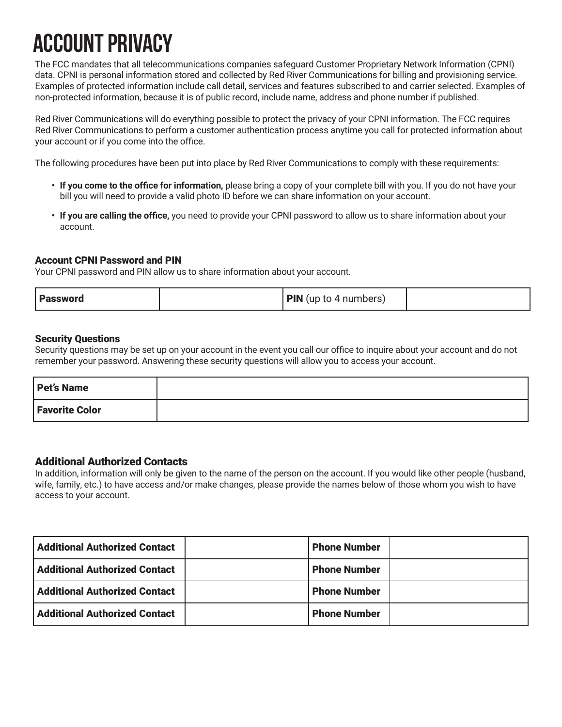# **ACCOUNT PRIVACY**

The FCC mandates that all telecommunications companies safeguard Customer Proprietary Network Information (CPNI) data. CPNI is personal information stored and collected by Red River Communications for billing and provisioning service. Examples of protected information include call detail, services and features subscribed to and carrier selected. Examples of non-protected information, because it is of public record, include name, address and phone number if published.

Red River Communications will do everything possible to protect the privacy of your CPNI information. The FCC requires Red River Communications to perform a customer authentication process anytime you call for protected information about your account or if you come into the office.

The following procedures have been put into place by Red River Communications to comply with these requirements:

- **• If you come to the office for information,** please bring a copy of your complete bill with you. If you do not have your bill you will need to provide a valid photo ID before we can share information on your account.
- **• If you are calling the office,** you need to provide your CPNI password to allow us to share information about your account.

### Account CPNI Password and PIN

Your CPNI password and PIN allow us to share information about your account.

| <b>Password</b> | <b>PIN</b> (up to 4 numbers) |  |
|-----------------|------------------------------|--|
|-----------------|------------------------------|--|

### Security Questions

Security questions may be set up on your account in the event you call our office to inquire about your account and do not remember your password. Answering these security questions will allow you to access your account.

| <b>Pet's Name</b>     |  |
|-----------------------|--|
| <b>Favorite Color</b> |  |

### Additional Authorized Contacts

In addition, information will only be given to the name of the person on the account. If you would like other people (husband, wife, family, etc.) to have access and/or make changes, please provide the names below of those whom you wish to have access to your account.

| <b>Additional Authorized Contact</b> | <b>Phone Number</b> |  |
|--------------------------------------|---------------------|--|
| <b>Additional Authorized Contact</b> | <b>Phone Number</b> |  |
| <b>Additional Authorized Contact</b> | <b>Phone Number</b> |  |
| <b>Additional Authorized Contact</b> | <b>Phone Number</b> |  |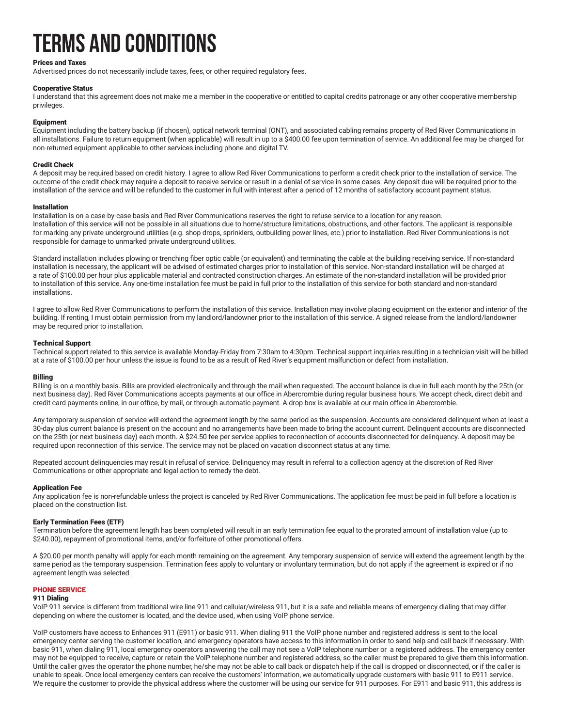# **TERMS AND CONDITIONS**

#### Prices and Taxes

Advertised prices do not necessarily include taxes, fees, or other required regulatory fees.

#### Cooperative Status

I understand that this agreement does not make me a member in the cooperative or entitled to capital credits patronage or any other cooperative membership privileges.

#### Equipment

Equipment including the battery backup (if chosen), optical network terminal (ONT), and associated cabling remains property of Red River Communications in all installations. Failure to return equipment (when applicable) will result in up to a \$400.00 fee upon termination of service. An additional fee may be charged for non-returned equipment applicable to other services including phone and digital TV.

#### Credit Check

A deposit may be required based on credit history. I agree to allow Red River Communications to perform a credit check prior to the installation of service. The outcome of the credit check may require a deposit to receive service or result in a denial of service in some cases. Any deposit due will be required prior to the installation of the service and will be refunded to the customer in full with interest after a period of 12 months of satisfactory account payment status.

#### Installation

Installation is on a case-by-case basis and Red River Communications reserves the right to refuse service to a location for any reason. Installation of this service will not be possible in all situations due to home/structure limitations, obstructions, and other factors. The applicant is responsible for marking any private underground utilities (e.g. shop drops, sprinklers, outbuilding power lines, etc.) prior to installation. Red River Communications is not responsible for damage to unmarked private underground utilities.

Standard installation includes plowing or trenching fiber optic cable (or equivalent) and terminating the cable at the building receiving service. If non-standard installation is necessary, the applicant will be advised of estimated charges prior to installation of this service. Non-standard installation will be charged at a rate of \$100.00 per hour plus applicable material and contracted construction charges. An estimate of the non-standard installation will be provided prior to installation of this service. Any one-time installation fee must be paid in full prior to the installation of this service for both standard and non-standard installations.

I agree to allow Red River Communications to perform the installation of this service. Installation may involve placing equipment on the exterior and interior of the building. If renting, I must obtain permission from my landlord/landowner prior to the installation of this service. A signed release from the landlord/landowner may be required prior to installation.

#### Technical Support

Technical support related to this service is available Monday-Friday from 7:30am to 4:30pm. Technical support inquiries resulting in a technician visit will be billed at a rate of \$100.00 per hour unless the issue is found to be as a result of Red River's equipment malfunction or defect from installation.

#### Billing

Billing is on a monthly basis. Bills are provided electronically and through the mail when requested. The account balance is due in full each month by the 25th (or next business day). Red River Communications accepts payments at our office in Abercrombie during regular business hours. We accept check, direct debit and credit card payments online, in our office, by mail, or through automatic payment. A drop box is available at our main office in Abercrombie.

Any temporary suspension of service will extend the agreement length by the same period as the suspension. Accounts are considered delinquent when at least a 30-day plus current balance is present on the account and no arrangements have been made to bring the account current. Delinquent accounts are disconnected on the 25th (or next business day) each month. A \$24.50 fee per service applies to reconnection of accounts disconnected for delinquency. A deposit may be required upon reconnection of this service. The service may not be placed on vacation disconnect status at any time.

Repeated account delinquencies may result in refusal of service. Delinquency may result in referral to a collection agency at the discretion of Red River Communications or other appropriate and legal action to remedy the debt.

#### Application Fee

Any application fee is non-refundable unless the project is canceled by Red River Communications. The application fee must be paid in full before a location is placed on the construction list.

#### Early Termination Fees (ETF)

Termination before the agreement length has been completed will result in an early termination fee equal to the prorated amount of installation value (up to \$240.00), repayment of promotional items, and/or forfeiture of other promotional offers.

A \$20.00 per month penalty will apply for each month remaining on the agreement. Any temporary suspension of service will extend the agreement length by the same period as the temporary suspension. Termination fees apply to voluntary or involuntary termination, but do not apply if the agreement is expired or if no agreement length was selected.

#### PHONE SERVICE

#### 911 Dialing

VoIP 911 service is different from traditional wire line 911 and cellular/wireless 911, but it is a safe and reliable means of emergency dialing that may differ depending on where the customer is located, and the device used, when using VoIP phone service.

VoIP customers have access to Enhances 911 (E911) or basic 911. When dialing 911 the VoIP phone number and registered address is sent to the local emergency center serving the customer location, and emergency operators have access to this information in order to send help and call back if necessary. With basic 911, when dialing 911, local emergency operators answering the call may not see a VoIP telephone number or a registered address. The emergency center may not be equipped to receive, capture or retain the VoIP telephone number and registered address, so the caller must be prepared to give them this information. Until the caller gives the operator the phone number, he/she may not be able to call back or dispatch help if the call is dropped or disconnected, or if the caller is unable to speak. Once local emergency centers can receive the customers' information, we automatically upgrade customers with basic 911 to E911 service. We require the customer to provide the physical address where the customer will be using our service for 911 purposes. For E911 and basic 911, this address is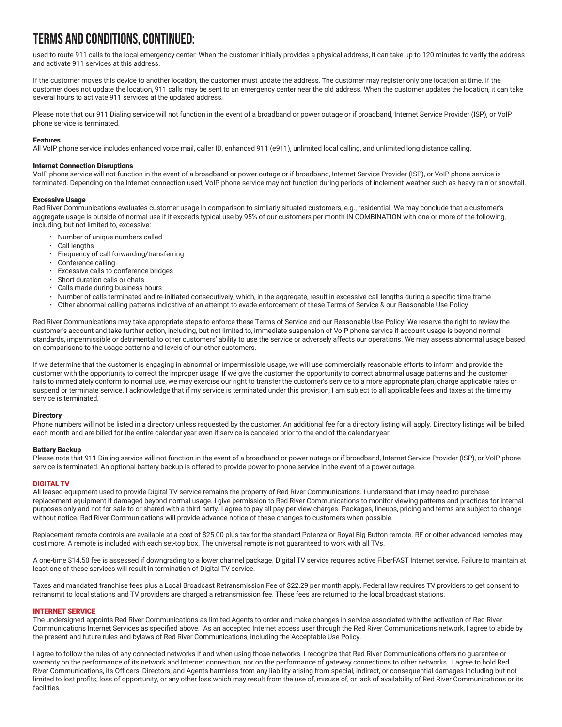## **TERMS AND CONDITIONS, CONTINUED:**

used to route 911 calls to the local emergency center. When the customer initially provides a physical address, it can take up to 120 minutes to verify the address and activate 911 services at this address.

If the customer moves this device to another location, the customer must update the address. The customer may register only one location at time. If the customer does not update the location, 911 calls may be sent to an emergency center near the old address. When the customer updates the location, it can take several hours to activate 911 services at the updated address.

Please note that our 911 Dialing service will not function in the event of a broadband or power outage or if broadband, Internet Service Provider (ISP), or VoIP phone service is terminated.

#### Features

All VoIP phone service includes enhanced voice mail, caller ID, enhanced 911 (e911), unlimited local calling, and unlimited long distance calling.

#### Internet Connection Disruptions

VoIP phone service will not function in the event of a broadband or power outage or if broadband, Internet Service Provider (ISP), or VoIP phone service is terminated. Depending on the Internet connection used, VoIP phone service may not function during periods of inclement weather such as heavy rain or snowfall.

#### Excessive Usage

Red River Communications evaluates customer usage in comparison to similarly situated customers, e.g., residential. We may conclude that a customer's aggregate usage is outside of normal use if it exceeds typical use by 95% of our customers per month IN COMBINATION with one or more of the following, including, but not limited to, excessive:

- Number of unique numbers called
- Call lengths
- Frequency of call forwarding/transferring
- Conference calling
- Excessive calls to conference bridges
- Short duration calls or chats
- Calls made during business hours
- Number of calls terminated and re-initiated consecutively, which, in the aggregate, result in excessive call lengths during a specific time frame
- Other abnormal calling patterns indicative of an attempt to evade enforcement of these Terms of Service & our Reasonable Use Policy

Red River Communications may take appropriate steps to enforce these Terms of Service and our Reasonable Use Policy. We reserve the right to review the customer's account and take further action, including, but not limited to, immediate suspension of VoIP phone service if account usage is beyond normal standards, impermissible or detrimental to other customers' ability to use the service or adversely affects our operations. We may assess abnormal usage based on comparisons to the usage patterns and levels of our other customers.

If we determine that the customer is engaging in abnormal or impermissible usage, we will use commercially reasonable efforts to inform and provide the customer with the opportunity to correct the improper usage. If we give the customer the opportunity to correct abnormal usage patterns and the customer fails to immediately conform to normal use, we may exercise our right to transfer the customer's service to a more appropriate plan, charge applicable rates or suspend or terminate service. I acknowledge that if my service is terminated under this provision, I am subject to all applicable fees and taxes at the time my service is terminated.

#### **Directory**

Phone numbers will not be listed in a directory unless requested by the customer. An additional fee for a directory listing will apply. Directory listings will be billed each month and are billed for the entire calendar year even if service is canceled prior to the end of the calendar year.

#### Battery Backup

Please note that 911 Dialing service will not function in the event of a broadband or power outage or if broadband, Internet Service Provider (ISP), or VoIP phone service is terminated. An optional battery backup is offered to provide power to phone service in the event of a power outage.

#### DIGITAL TV

All leased equipment used to provide Digital TV service remains the property of Red River Communications. I understand that I may need to purchase replacement equipment if damaged beyond normal usage. I give permission to Red River Communications to monitor viewing patterns and practices for internal purposes only and not for sale to or shared with a third party. I agree to pay all pay-per-view charges. Packages, lineups, pricing and terms are subject to change without notice. Red River Communications will provide advance notice of these changes to customers when possible.

Replacement remote controls are available at a cost of \$25.00 plus tax for the standard Potenza or Royal Big Button remote. RF or other advanced remotes may cost more. A remote is included with each set-top box. The universal remote is not guaranteed to work with all TVs.

A one-time \$14.50 fee is assessed if downgrading to a lower channel package. Digital TV service requires active FiberFAST Internet service. Failure to maintain at least one of these services will result in termination of Digital TV service.

Taxes and mandated franchise fees plus a Local Broadcast Retransmission Fee of \$22.29 per month apply. Federal law requires TV providers to get consent to retransmit to local stations and TV providers are charged a retransmission fee. These fees are returned to the local broadcast stations.

#### INTERNET SERVICE

The undersigned appoints Red River Communications as limited Agents to order and make changes in service associated with the activation of Red River Communications Internet Services as specified above. As an accepted Internet access user through the Red River Communications network, I agree to abide by the present and future rules and bylaws of Red River Communications, including the Acceptable Use Policy.

I agree to follow the rules of any connected networks if and when using those networks. I recognize that Red River Communications offers no guarantee or warranty on the performance of its network and Internet connection, nor on the performance of gateway connections to other networks. I agree to hold Red River Communications, its Officers, Directors, and Agents harmless from any liability arising from special, indirect, or consequential damages including but not limited to lost profits, loss of opportunity, or any other loss which may result from the use of, misuse of, or lack of availability of Red River Communications or its facilities.